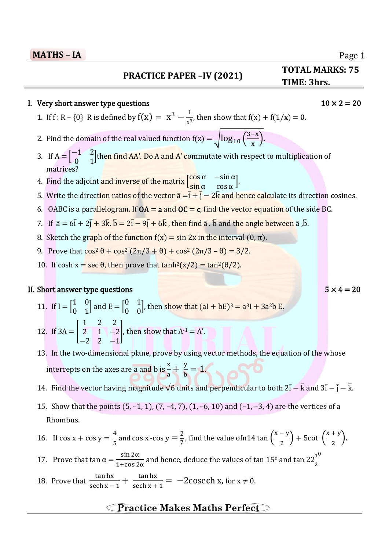l

### **PRACTICE PAPER –IV (2021)**

### **TOTAL MARKS: 75 - IA TIME: 3hrs.**

### I. Very short answer type questions  $10 \times 2 = 20$

- 1. If f: R {0} R is defined by  $f(x) = x^3 \frac{1}{x^3}$  $\frac{1}{x^3}$ , then show that  $f(x) + f(1/x) = 0$ .
- 2. Find the domain of the real valued function  $f(x) = \sqrt{\log_{10} (\frac{3-x}{x})^2}$  $\frac{-\lambda}{x}$ ).
- 3. If  $A = \begin{bmatrix} -1 & 2 \\ 0 & 1 \end{bmatrix}$ 0 1 ]then find AA'. Do A and A' commutate with respect to multiplication of matrices?
- 4. Find the adjoint and inverse of the matrix  $\begin{bmatrix} \cos \alpha & -\sin \alpha \\ \sin \alpha & \cos \alpha \end{bmatrix}$  $\frac{\cos \alpha}{\sin \alpha} \cos \alpha$ .
- 5. Write the direction ratios of the vector  $\bar{a} = \bar{i} + \bar{j} 2\bar{k}$  and hence calculate its direction cosines.
- 6. OABC is a parallelogram. If  $OA = a$  and  $OC = c$ , find the vector equation of the side BC.
- 7. If  $\bar{a} = 6\bar{i} + 2\bar{j} + 3\bar{k}$ .  $\bar{b} = 2\bar{i} 9\bar{j} + 6\bar{k}$ , then find  $\bar{a}$ .  $\bar{b}$  and the angle between  $\bar{a}$ ,  $\bar{b}$ .
- 8. Sketch the graph of the function  $f(x) = \sin 2x$  in the interval  $(0, \pi)$ .
- 9. Prove that  $\cos^2 \theta + \cos^2 (2\pi/3 + \theta) + \cos^2 (2\pi/3 \theta) = 3/2$ .
- 10. If cosh x = sec  $\theta$ , then prove that  $tanh^2(x/2) = tan^2(\theta/2)$ .

#### II. Short answer type questions  $5 \times 4 = 20$

11. If 
$$
I = \begin{bmatrix} 1 & 0 \ 0 & 1 \end{bmatrix}
$$
 and  $E = \begin{bmatrix} 0 & 1 \ 0 & 0 \end{bmatrix}$ , then show that  $(aI + bE)^3 = a^3I + 3a^2bE$ .  
12. If  $3A = \begin{bmatrix} 1 & 2 & 2 \ 2 & 1 & -2 \ -2 & 2 & -1 \end{bmatrix}$ , then show that  $A^{-1} = A'$ .

- 13. In the two-dimensional plane, prove by using vector methods, the equation of the whose intercepts on the axes are a and b is  $\frac{x}{a} + \frac{y}{b}$  $\frac{y}{b} = 1.$
- 14. Find the vector having magnitude  $\sqrt{6}$  units and perpendicular to both 2 $\bar{i}$   $\bar{k}$  and 3 $\bar{i}$   $\bar{j}$   $\bar{k}$ .
- 15. Show that the points (5, –1, 1), (7, –4, 7), (1, –6, 10) and (–1, –3, 4) are the vertices of a Rhombus.
- 16. If  $\cos x + \cos y = \frac{4}{5}$  and  $\cos x \cos y = \frac{2}{7}$  $\frac{2}{7}$ , find the value ofn14 tan  $\left(\frac{x-y}{2}\right)$  $\left(\frac{-y}{2}\right)$  + 5cot  $\left(\frac{x+y}{2}\right)$  $\frac{y}{2}$ ).
- 17. Prove that tan  $\alpha = \frac{\sin 2\alpha}{4 \tan 2\alpha}$  $\frac{\sin 2\alpha}{1+\cos 2\alpha}$  and hence, deduce the values of tan 15<sup>0</sup> and tan 22 $\frac{1}{2}$ 0
- 18. Prove that  $\frac{\tan \text{hx}}{\text{sech x} 1} + \frac{\tan \text{hx}}{\text{sech x} + \frac{\tan \text{hx}}{\text{sech x} + \tan \text{hx}}}$  $\frac{\tan \pi x}{\sech x + 1} = -2\csch x, \text{ for } x \neq 0.$

## **Practice Makes Maths Perfect**